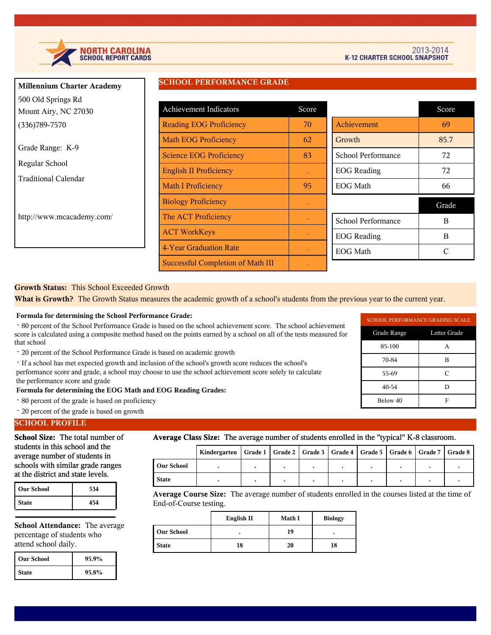

| <b>Millennium Charter Academy</b>          | SCHUUL FERFURMANCE GRADE          |           |                    |       |
|--------------------------------------------|-----------------------------------|-----------|--------------------|-------|
| 500 Old Springs Rd<br>Mount Airy, NC 27030 | Achievement Indicators            | Score     |                    | Score |
| $(336)789 - 7570$                          | <b>Reading EOG Proficiency</b>    | 70        | Achievement        | 69    |
|                                            | <b>Math EOG Proficiency</b>       | 62        | Growth             | 85.7  |
| Grade Range: K-9                           | <b>Science EOG Proficiency</b>    | 83        | School Performance | 72    |
| Regular School                             | <b>English II Proficiency</b>     |           | <b>EOG</b> Reading | 72    |
| <b>Traditional Calendar</b>                | <b>Math I Proficiency</b>         | 95        | EOG Math           | 66    |
|                                            | <b>Biology Proficiency</b>        |           |                    | Grade |
| http://www.mcacademy.com/                  | The ACT Proficiency               |           | School Performance | B     |
|                                            | <b>ACT WorkKeys</b>               | $\bullet$ | <b>EOG</b> Reading | B     |
|                                            | 4-Year Graduation Rate            | $\bullet$ | <b>EOG</b> Math    | C     |
|                                            | Successful Completion of Math III |           |                    |       |

**SCHOOL PERFORMANCE GRADE** 

### **Growth Status:** This School Exceeded Growth

**What is Growth?** The Growth Status measures the academic growth of a school's students from the previous year to the current year.

#### **Formula for determining the School Performance Grade:**

 · 80 percent of the School Performance Grade is based on the school achievement score. The school achievement score is calculated using a composite method based on the points earned by a school on all of the tests measured for that school

- · 20 percent of the School Performance Grade is based on academic growth
- · If a school has met expected growth and inclusion of the school's growth score reduces the school's

 performance score and grade, a school may choose to use the school achievement score solely to calculate the performance score and grade

 **Formula for determining the EOG Math and EOG Reading Grades:**

- · 80 percent of the grade is based on proficiency
- · 20 percent of the grade is based on growth

### **SCHOOL PROFILE**

**School Size:** The total number of students in this school and the average number of students in schools with similar grade ranges at the district and state levels.

| <b>Our School</b> | 534 |  |
|-------------------|-----|--|
| <b>State</b>      | 454 |  |

**School Attendance:** The average percentage of students who attend school daily.

| l Our School | 95.9% |  |
|--------------|-------|--|
| <b>State</b> | 95.8% |  |

#### **Average Class Size:** The average number of students enrolled in the "typical" K-8 classroom.

|                   | Kindergarten   Grade 1   Grade 2   Grade 3   Grade 4   Grade 5   Grade 6   Grade 7   Grade 8 |  |  |  |  |  |  |  |
|-------------------|----------------------------------------------------------------------------------------------|--|--|--|--|--|--|--|
| <b>Our School</b> |                                                                                              |  |  |  |  |  |  |  |
| <b>State</b>      |                                                                                              |  |  |  |  |  |  |  |

**Average Course Size:** The average number of students enrolled in the courses listed at the time of End-of-Course testing.

|                   | English II | Math I | <b>Biology</b> |
|-------------------|------------|--------|----------------|
| <b>Our School</b> |            | 19     | ٠              |
| <b>State</b>      | 18         | 20     | 18             |

| SCHOOL PERFORMANCE GRADING SCALE |   |  |  |  |
|----------------------------------|---|--|--|--|
| Grade Range<br>Letter Grade      |   |  |  |  |
| 85-100                           | А |  |  |  |
| 70-84                            | в |  |  |  |
| 55-69                            | C |  |  |  |
| 40-54<br>D                       |   |  |  |  |
| Below 40                         | F |  |  |  |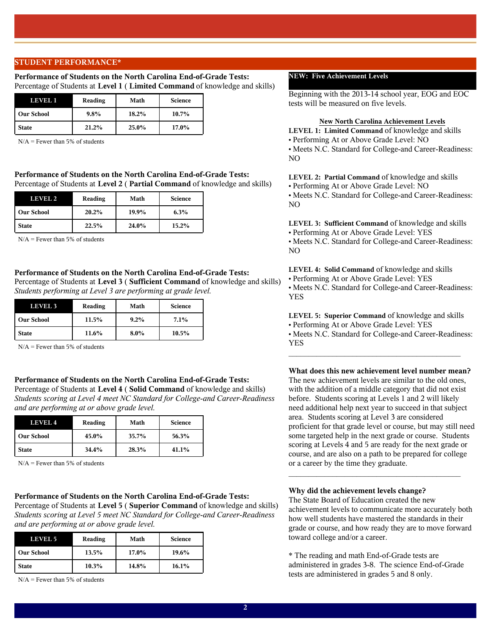### **STUDENT PERFORMANCE\***

#### **Performance of Students on the North Carolina End-of-Grade Tests:**  Percentage of Students at **Level 1** ( **Limited Command** of knowledge and skills)

| LEVELI            | Reading | Math  | <b>Science</b> |
|-------------------|---------|-------|----------------|
| <b>Our School</b> | $9.8\%$ | 18.2% | $10.7\%$       |
| <b>State</b>      | 21.2%   | 25.0% | 17.0%          |

 $N/A$  = Fewer than 5% of students

### **Performance of Students on the North Carolina End-of-Grade Tests:**  Percentage of Students at **Level 2** ( **Partial Command** of knowledge and skills)

| LEVEL 2           | Reading | Math  | <b>Science</b> |
|-------------------|---------|-------|----------------|
| <b>Our School</b> | 20.2%   | 19.9% | 6.3%           |
| <b>State</b>      | 22.5%   | 24.0% | 15.2%          |

 $N/A$  = Fewer than 5% of students

#### **Performance of Students on the North Carolina End-of-Grade Tests:**

Percentage of Students at **Level 3** ( **Sufficient Command** of knowledge and skills) *Students performing at Level 3 are performing at grade level.*

| LEVEL 3           | Reading | Math    | <b>Science</b> |
|-------------------|---------|---------|----------------|
| <b>Our School</b> | 11.5%   | $9.2\%$ | $7.1\%$        |
| <b>State</b>      | 11.6%   | $8.0\%$ | $10.5\%$       |

 $N/A$  = Fewer than 5% of students

#### **Performance of Students on the North Carolina End-of-Grade Tests:**

Percentage of Students at **Level 4** ( **Solid Command** of knowledge and skills) *Students scoring at Level 4 meet NC Standard for College-and Career-Readiness and are performing at or above grade level.*

| <b>LEVEL 4</b>    | Reading | Math     | <b>Science</b> |
|-------------------|---------|----------|----------------|
| <b>Our School</b> | 45.0%   | $35.7\%$ | 56.3%          |
| <b>State</b>      | 34.4%   | 28.3%    | 41.1%          |

 $N/A$  = Fewer than 5% of students

#### **Performance of Students on the North Carolina End-of-Grade Tests:**

Percentage of Students at **Level 5** ( **Superior Command** of knowledge and skills) *Students scoring at Level 5 meet NC Standard for College-and Career-Readiness and are performing at or above grade level.*

| LEVEL 5           | Reading | Math  | <b>Science</b> |
|-------------------|---------|-------|----------------|
| <b>Our School</b> | 13.5%   | 17.0% | 19.6%          |
| <b>State</b>      | 10.3%   | 14.8% | 16.1%          |

 $N/A$  = Fewer than 5% of students

### **NEW: Five Achievement Levels**

Beginning with the 2013-14 school year, EOG and EOC tests will be measured on five levels.

#### **New North Carolina Achievement Levels**

**LEVEL 1: Limited Command** of knowledge and skills **•** Performing At or Above Grade Level: NO **•** Meets N.C. Standard for College-and Career-Readiness: NO

**LEVEL 2: Partial Command** of knowledge and skills **•** Performing At or Above Grade Level: NO **•** Meets N.C. Standard for College-and Career-Readiness: NO

**LEVEL 3: Sufficient Command** of knowledge and skills **•** Performing At or Above Grade Level: YES **•** Meets N.C. Standard for College-and Career-Readiness: NO

**LEVEL 4: Solid Command** of knowledge and skills **•** Performing At or Above Grade Level: YES **•** Meets N.C. Standard for College-and Career-Readiness: YES

**LEVEL 5: Superior Command** of knowledge and skills **•** Performing At or Above Grade Level: YES **•** Meets N.C. Standard for College-and Career-Readiness: YES

 $\mathcal{L}_\text{max}$  and  $\mathcal{L}_\text{max}$  and  $\mathcal{L}_\text{max}$  and  $\mathcal{L}_\text{max}$  and  $\mathcal{L}_\text{max}$ 

**What does this new achievement level number mean?** The new achievement levels are similar to the old ones, with the addition of a middle category that did not exist before. Students scoring at Levels 1 and 2 will likely need additional help next year to succeed in that subject area. Students scoring at Level 3 are considered proficient for that grade level or course, but may still need some targeted help in the next grade or course. Students scoring at Levels 4 and 5 are ready for the next grade or course, and are also on a path to be prepared for college or a career by the time they graduate.

#### **Why did the achievement levels change?**

The State Board of Education created the new achievement levels to communicate more accurately both how well students have mastered the standards in their grade or course, and how ready they are to move forward toward college and/or a career.

 $\mathcal{L}_\text{max}$  and  $\mathcal{L}_\text{max}$  and  $\mathcal{L}_\text{max}$  and  $\mathcal{L}_\text{max}$  and  $\mathcal{L}_\text{max}$ 

\* The reading and math End-of-Grade tests are administered in grades 3-8. The science End-of-Grade tests are administered in grades 5 and 8 only.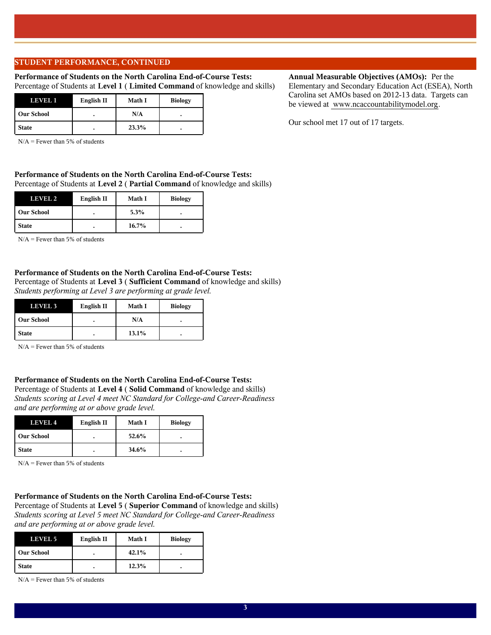### **STUDENT PERFORMANCE, CONTINUED**

### **Performance of Students on the North Carolina End-of-Course Tests:**  Percentage of Students at **Level 1** ( **Limited Command** of knowledge and skills)

| пеуни             | English II | <b>Math I</b> | <b>Biology</b> |
|-------------------|------------|---------------|----------------|
| <b>Our School</b> |            | N/A           |                |
| <b>State</b>      |            | 23.3%         |                |

N/A = Fewer than 5% of students

### **Performance of Students on the North Carolina End-of-Course Tests:**  Percentage of Students at **Level 2** ( **Partial Command** of knowledge and skills)

| LEVEL 2           | English II | <b>Math I</b> | <b>Biology</b> |
|-------------------|------------|---------------|----------------|
| <b>Our School</b> |            | 5.3%          |                |
| <b>State</b>      | ۰          | 16.7%         |                |

 $N/A$  = Fewer than 5% of students

### **Performance of Students on the North Carolina End-of-Course Tests:**

Percentage of Students at **Level 3** ( **Sufficient Command** of knowledge and skills) *Students performing at Level 3 are performing at grade level.*

| LEVEL 3           | English II | <b>Math I</b> | <b>Biology</b> |
|-------------------|------------|---------------|----------------|
| <b>Our School</b> |            | N/A           | ٠              |
| <b>State</b>      |            | 13.1%         | ٠              |

 $N/A$  = Fewer than 5% of students

## **Performance of Students on the North Carolina End-of-Course Tests:**

Percentage of Students at **Level 4** ( **Solid Command** of knowledge and skills) *Students scoring at Level 4 meet NC Standard for College-and Career-Readiness and are performing at or above grade level.*

| LEVEL 4           | English II | <b>Math I</b> | <b>Biology</b> |
|-------------------|------------|---------------|----------------|
| <b>Our School</b> |            | 52.6%         |                |
| <b>State</b>      |            | 34.6%         |                |

 $N/A$  = Fewer than 5% of students

# **Performance of Students on the North Carolina End-of-Course Tests:**

Percentage of Students at **Level 5** ( **Superior Command** of knowledge and skills) *Students scoring at Level 5 meet NC Standard for College-and Career-Readiness and are performing at or above grade level.*

| LEVEL 5           | English II | <b>Math I</b> | <b>Biology</b> |
|-------------------|------------|---------------|----------------|
| <b>Our School</b> |            | 42.1%         |                |
| <b>State</b>      | ۰          | 12.3%         |                |

 $N/A$  = Fewer than 5% of students

# **Annual Measurable Objectives (AMOs):** Per the

Elementary and Secondary Education Act (ESEA), North Carolina set AMOs based on 2012-13 data. Targets can be viewed at www.ncaccountabilitymodel.org.

Our school met 17 out of 17 targets.